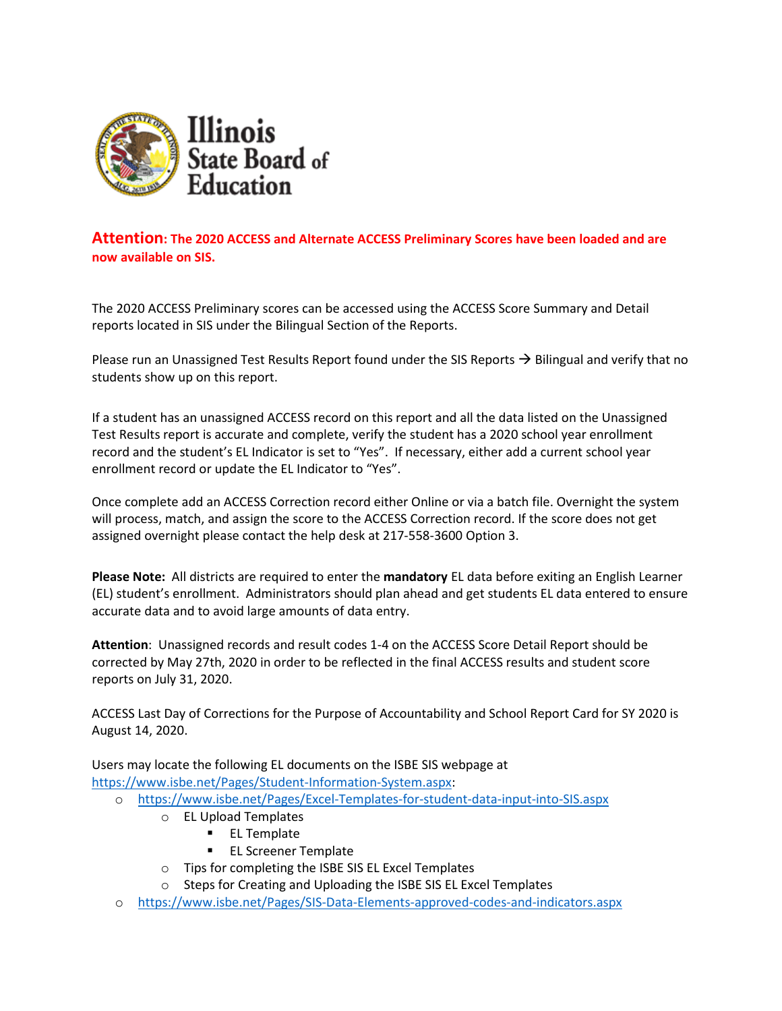

# **Attention: The 2020 ACCESS and Alternate ACCESS Preliminary Scores have been loaded and are now available on SIS.**

The 2020 ACCESS Preliminary scores can be accessed using the ACCESS Score Summary and Detail reports located in SIS under the Bilingual Section of the Reports.

Please run an Unassigned Test Results Report found under the SIS Reports  $\rightarrow$  Bilingual and verify that no students show up on this report.

If a student has an unassigned ACCESS record on this report and all the data listed on the Unassigned Test Results report is accurate and complete, verify the student has a 2020 school year enrollment record and the student's EL Indicator is set to "Yes". If necessary, either add a current school year enrollment record or update the EL Indicator to "Yes".

Once complete add an ACCESS Correction record either Online or via a batch file. Overnight the system will process, match, and assign the score to the ACCESS Correction record. If the score does not get assigned overnight please contact the help desk at 217-558-3600 Option 3.

**Please Note:** All districts are required to enter the **mandatory** EL data before exiting an English Learner (EL) student's enrollment. Administrators should plan ahead and get students EL data entered to ensure accurate data and to avoid large amounts of data entry.

**Attention**: Unassigned records and result codes 1-4 on the ACCESS Score Detail Report should be corrected by May 27th, 2020 in order to be reflected in the final ACCESS results and student score reports on July 31, 2020.

ACCESS Last Day of Corrections for the Purpose of Accountability and School Report Card for SY 2020 is August 14, 2020.

Users may locate the following EL documents on the ISBE SIS webpage at [https://www.isbe.net/Pages/Student-Information-System.aspx:](https://www.isbe.net/Pages/Student-Information-System.aspx)

- o <https://www.isbe.net/Pages/Excel-Templates-for-student-data-input-into-SIS.aspx>
	- o EL Upload Templates
		- **EL Template**
		- **EL Screener Template**
	- o Tips for completing the ISBE SIS EL Excel Templates
	- o Steps for Creating and Uploading the ISBE SIS EL Excel Templates
- o <https://www.isbe.net/Pages/SIS-Data-Elements-approved-codes-and-indicators.aspx>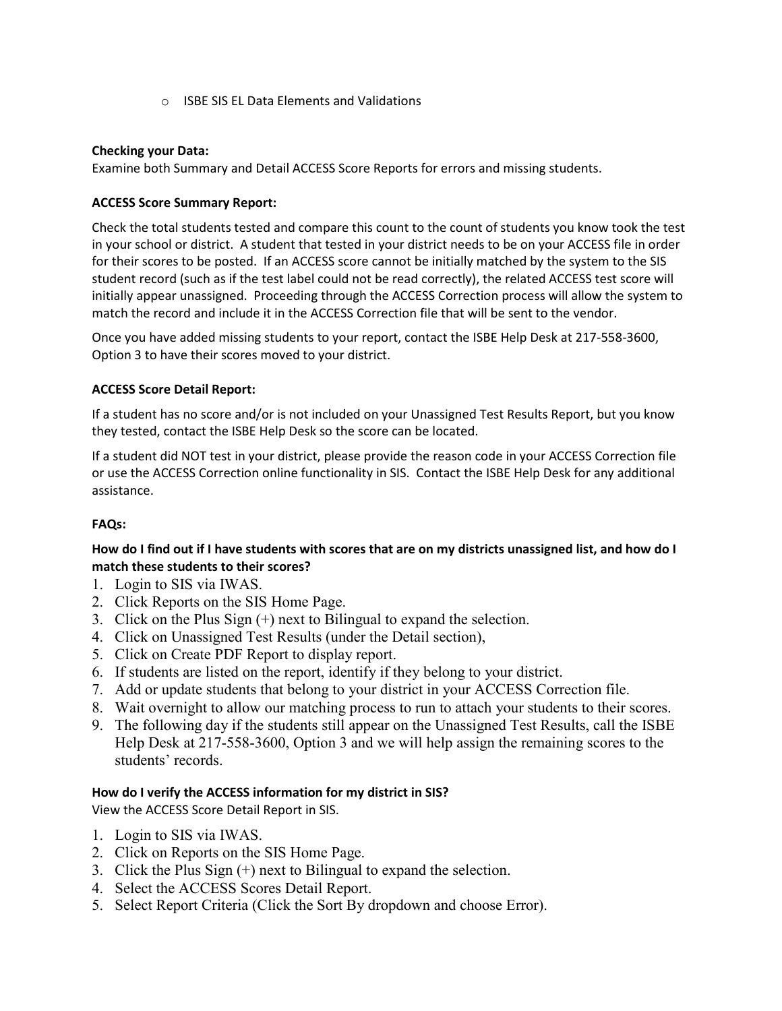o ISBE SIS EL Data Elements and Validations

### **Checking your Data:**

Examine both Summary and Detail ACCESS Score Reports for errors and missing students.

### **ACCESS Score Summary Report:**

Check the total students tested and compare this count to the count of students you know took the test in your school or district. A student that tested in your district needs to be on your ACCESS file in order for their scores to be posted. If an ACCESS score cannot be initially matched by the system to the SIS student record (such as if the test label could not be read correctly), the related ACCESS test score will initially appear unassigned. Proceeding through the ACCESS Correction process will allow the system to match the record and include it in the ACCESS Correction file that will be sent to the vendor.

Once you have added missing students to your report, contact the ISBE Help Desk at 217-558-3600, Option 3 to have their scores moved to your district.

### **ACCESS Score Detail Report:**

If a student has no score and/or is not included on your Unassigned Test Results Report, but you know they tested, contact the ISBE Help Desk so the score can be located.

If a student did NOT test in your district, please provide the reason code in your ACCESS Correction file or use the ACCESS Correction online functionality in SIS. Contact the ISBE Help Desk for any additional assistance.

#### **FAQs:**

## **How do I find out if I have students with scores that are on my districts unassigned list, and how do I match these students to their scores?**

- 1. Login to SIS via IWAS.
- 2. Click Reports on the SIS Home Page.
- 3. Click on the Plus Sign (+) next to Bilingual to expand the selection.
- 4. Click on Unassigned Test Results (under the Detail section),
- 5. Click on Create PDF Report to display report.
- 6. If students are listed on the report, identify if they belong to your district.
- 7. Add or update students that belong to your district in your ACCESS Correction file.
- 8. Wait overnight to allow our matching process to run to attach your students to their scores.
- 9. The following day if the students still appear on the Unassigned Test Results, call the ISBE Help Desk at 217-558-3600, Option 3 and we will help assign the remaining scores to the students' records.

## **How do I verify the ACCESS information for my district in SIS?**

View the ACCESS Score Detail Report in SIS.

- 1. Login to SIS via IWAS.
- 2. Click on Reports on the SIS Home Page.
- 3. Click the Plus Sign (+) next to Bilingual to expand the selection.
- 4. Select the ACCESS Scores Detail Report.
- 5. Select Report Criteria (Click the Sort By dropdown and choose Error).